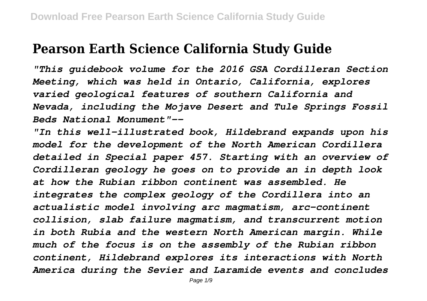## **Pearson Earth Science California Study Guide**

*"This guidebook volume for the 2016 GSA Cordilleran Section Meeting, which was held in Ontario, California, explores varied geological features of southern California and Nevada, including the Mojave Desert and Tule Springs Fossil Beds National Monument"--*

*"In this well-illustrated book, Hildebrand expands upon his model for the development of the North American Cordillera detailed in Special paper 457. Starting with an overview of Cordilleran geology he goes on to provide an in depth look at how the Rubian ribbon continent was assembled. He integrates the complex geology of the Cordillera into an actualistic model involving arc magmatism, arc-continent collision, slab failure magmatism, and transcurrent motion in both Rubia and the western North American margin. While much of the focus is on the assembly of the Rubian ribbon continent, Hildebrand explores its interactions with North America during the Sevier and Laramide events and concludes*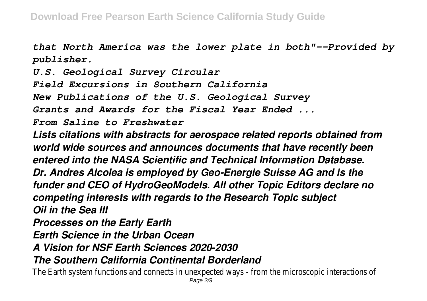*that North America was the lower plate in both"--Provided by publisher.*

*U.S. Geological Survey Circular*

*Field Excursions in Southern California*

*New Publications of the U.S. Geological Survey*

*Grants and Awards for the Fiscal Year Ended ...*

*From Saline to Freshwater*

*Lists citations with abstracts for aerospace related reports obtained from world wide sources and announces documents that have recently been entered into the NASA Scientific and Technical Information Database. Dr. Andres Alcolea is employed by Geo-Energie Suisse AG and is the funder and CEO of HydroGeoModels. All other Topic Editors declare no competing interests with regards to the Research Topic subject Oil in the Sea III Processes on the Early Earth Earth Science in the Urban Ocean A Vision for NSF Earth Sciences 2020-2030*

*The Southern California Continental Borderland*

The Earth system functions and connects in unexpected ways - from the microscopic intera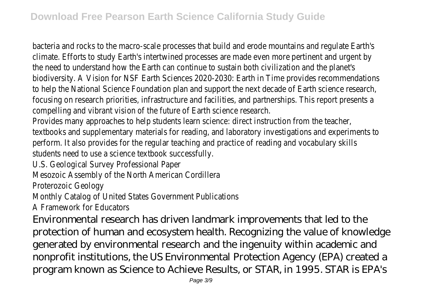bacteria and rocks to the macro-scale processes that build and erode mountains and regulation climate. Efforts to study Earth's intertwined processes are made even more pertinent and urgent the need to understand how the Earth can continue to sustain both civilization and the plan biodiversity. A Vision for NSF Earth Sciences 2020-2030: Earth in Time provides recommenda to help the National Science Foundation plan and support the next decade of Earth science re focusing on research priorities, infrastructure and facilities, and partnerships. This report pre compelling and vibrant vision of the future of Earth science research

Provides many approaches to help students learn science: direct instruction from the teacher textbooks and supplementary materials for reading, and laboratory investigations and experiments to perform. It also provides for the regular teaching and practice of reading and vocabulary skill students need to use a science textbook successfully.

U.S. Geological Survey Professional Pape

Mesozoic Assembly of the North American Cordiller

Proterozoic Geology

Monthly Catalog of United States Government Publication

A Framework for Educators

Environmental research has driven landmark improvements that led to the protection of human and ecosystem health. Recognizing the value of knowledge generated by environmental research and the ingenuity within academic and nonprofit institutions, the US Environmental Protection Agency (EPA) created a program known as Science to Achieve Results, or STAR, in 1995. STAR is EPA's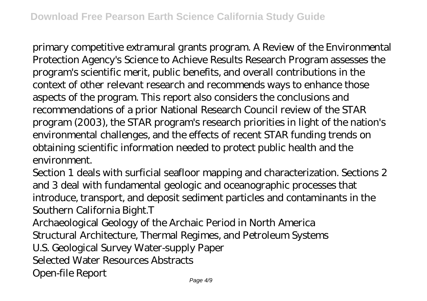primary competitive extramural grants program. A Review of the Environmental Protection Agency's Science to Achieve Results Research Program assesses the program's scientific merit, public benefits, and overall contributions in the context of other relevant research and recommends ways to enhance those aspects of the program. This report also considers the conclusions and recommendations of a prior National Research Council review of the STAR program (2003), the STAR program's research priorities in light of the nation's environmental challenges, and the effects of recent STAR funding trends on obtaining scientific information needed to protect public health and the environment.

Section 1 deals with surficial seafloor mapping and characterization. Sections 2 and 3 deal with fundamental geologic and oceanographic processes that introduce, transport, and deposit sediment particles and contaminants in the Southern California Bight.T

Archaeological Geology of the Archaic Period in North America Structural Architecture, Thermal Regimes, and Petroleum Systems U.S. Geological Survey Water-supply Paper Selected Water Resources Abstracts Open-file Report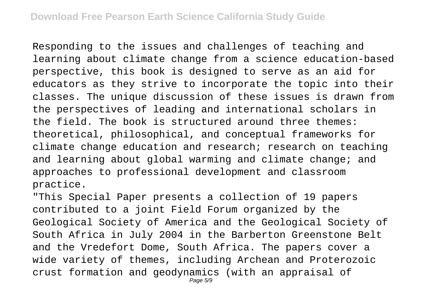Responding to the issues and challenges of teaching and learning about climate change from a science education-based perspective, this book is designed to serve as an aid for educators as they strive to incorporate the topic into their classes. The unique discussion of these issues is drawn from the perspectives of leading and international scholars in the field. The book is structured around three themes: theoretical, philosophical, and conceptual frameworks for climate change education and research; research on teaching and learning about global warming and climate change; and approaches to professional development and classroom practice.

"This Special Paper presents a collection of 19 papers contributed to a joint Field Forum organized by the Geological Society of America and the Geological Society of South Africa in July 2004 in the Barberton Greenstone Belt and the Vredefort Dome, South Africa. The papers cover a wide variety of themes, including Archean and Proterozoic crust formation and geodynamics (with an appraisal of Page 5/9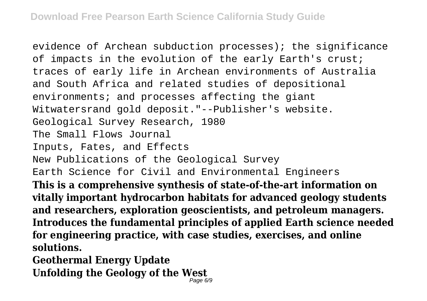evidence of Archean subduction processes); the significance of impacts in the evolution of the early Earth's crust; traces of early life in Archean environments of Australia and South Africa and related studies of depositional environments; and processes affecting the giant Witwatersrand gold deposit."--Publisher's website. Geological Survey Research, 1980 The Small Flows Journal Inputs, Fates, and Effects New Publications of the Geological Survey Earth Science for Civil and Environmental Engineers **This is a comprehensive synthesis of state-of-the-art information on vitally important hydrocarbon habitats for advanced geology students and researchers, exploration geoscientists, and petroleum managers. Introduces the fundamental principles of applied Earth science needed for engineering practice, with case studies, exercises, and online solutions. Geothermal Energy Update**

**Unfolding the Geology of the West** Page 6/9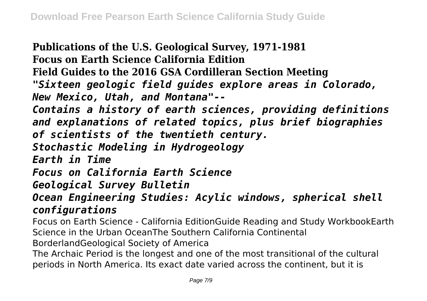**Publications of the U.S. Geological Survey, 1971-1981 Focus on Earth Science California Edition Field Guides to the 2016 GSA Cordilleran Section Meeting** *"Sixteen geologic field guides explore areas in Colorado, New Mexico, Utah, and Montana"-- Contains a history of earth sciences, providing definitions and explanations of related topics, plus brief biographies of scientists of the twentieth century. Stochastic Modeling in Hydrogeology Earth in Time Focus on California Earth Science Geological Survey Bulletin Ocean Engineering Studies: Acylic windows, spherical shell configurations* Focus on Earth Science - California EditionGuide Reading and Study WorkbookEarth Science in the Urban OceanThe Southern California Continental BorderlandGeological Society of America The Archaic Period is the longest and one of the most transitional of the cultural periods in North America. Its exact date varied across the continent, but it is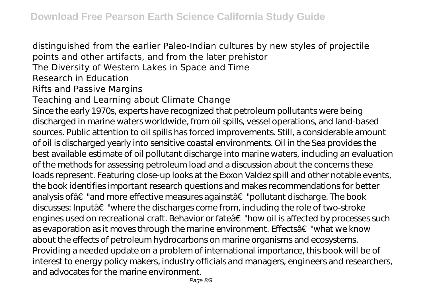distinguished from the earlier Paleo-Indian cultures by new styles of projectile points and other artifacts, and from the later prehistor The Diversity of Western Lakes in Space and Time Research in Education Rifts and Passive Margins Teaching and Learning about Climate Change Since the early 1970s, experts have recognized that petroleum pollutants were being discharged in marine waters worldwide, from oil spills, vessel operations, and land-based sources. Public attention to oil spills has forced improvements. Still, a considerable amount of oil is discharged yearly into sensitive coastal environments. Oil in the Sea provides the best available estimate of oil pollutant discharge into marine waters, including an evaluation of the methods for assessing petroleum load and a discussion about the concerns these loads represent. Featuring close-up looks at the Exxon Valdez spill and other notable events, the book identifies important research questions and makes recommendations for better analysis ofâ€"and more effective measures againstâ€"pollutant discharge. The book discusses: Inputâ€"where the discharges come from, including the role of two-stroke engines used on recreational craft. Behavior or fateâ€"how oil is affected by processes such as evaporation as it moves through the marine environment. Effects†"what we know about the effects of petroleum hydrocarbons on marine organisms and ecosystems. Providing a needed update on a problem of international importance, this book will be of interest to energy policy makers, industry officials and managers, engineers and researchers, and advocates for the marine environment.